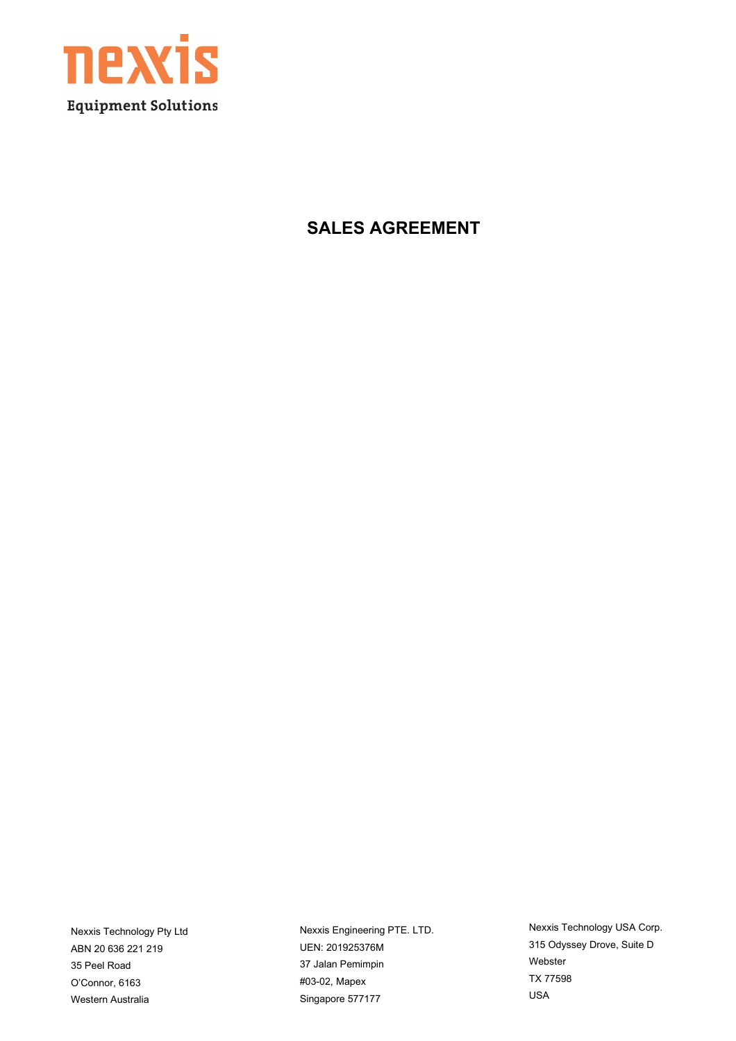

**SALES AGREEMENT**

Nexxis Technology Pty Ltd ABN 20 636 221 219 35 Peel Road O'Connor, 6163 Western Australia

Nexxis Engineering PTE. LTD. UEN: 201925376M 37 Jalan Pemimpin #03-02, Mapex Singapore 577177

Nexxis Technology USA Corp. 315 Odyssey Drove, Suite D Webster TX 77598 USA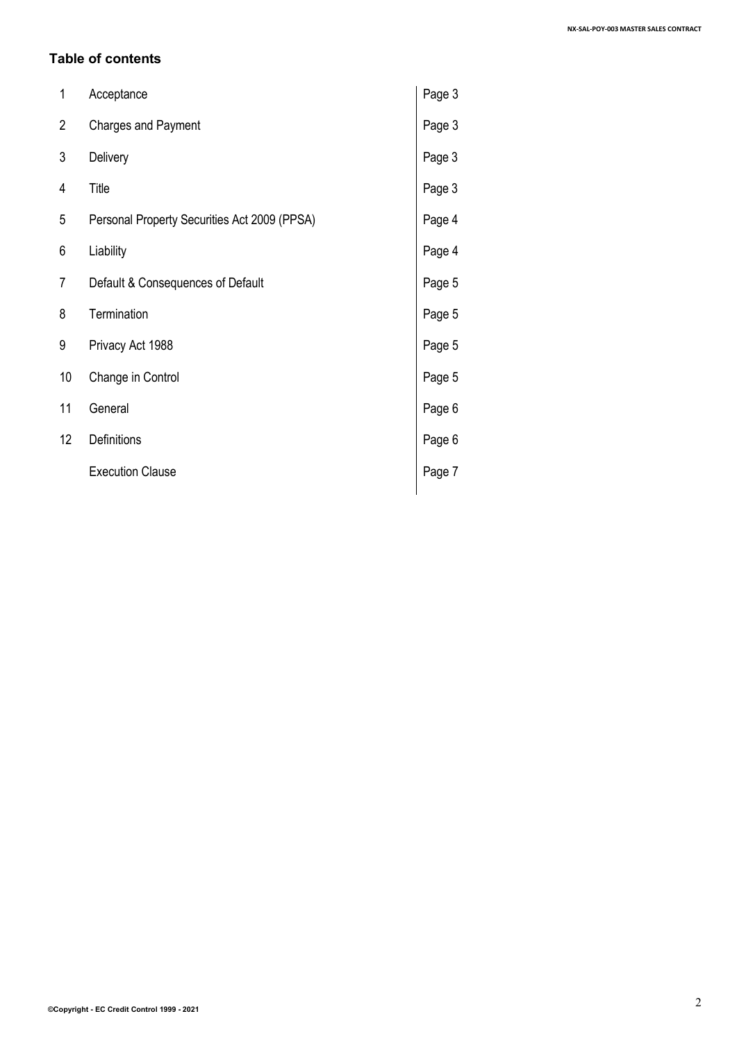#### **Table of contents**

| 1              | Acceptance                                   | Page 3 |
|----------------|----------------------------------------------|--------|
| $\overline{c}$ | <b>Charges and Payment</b>                   | Page 3 |
| 3              | Delivery                                     | Page 3 |
| 4              | Title                                        | Page 3 |
| 5              | Personal Property Securities Act 2009 (PPSA) | Page 4 |
| 6              | Liability                                    | Page 4 |
| 7              | Default & Consequences of Default            | Page 5 |
| 8              | Termination                                  | Page 5 |
| 9              | Privacy Act 1988                             | Page 5 |
| 10             | Change in Control                            | Page 5 |
| 11             | General                                      | Page 6 |
| 12             | Definitions                                  | Page 6 |
|                | <b>Execution Clause</b>                      | Page 7 |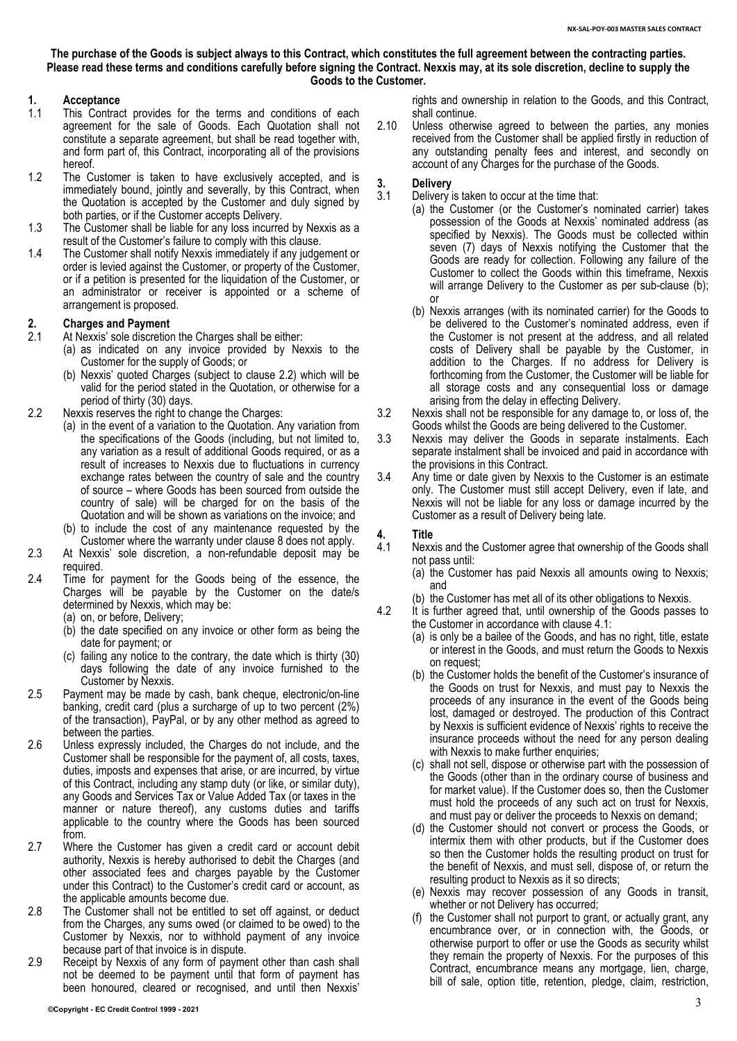**The purchase of the Goods is subject always to this Contract, which constitutes the full agreement between the contracting parties. Please read these terms and conditions carefully before signing the Contract. Nexxis may, at its sole discretion, decline to supply the Goods to the Customer.**

# **1. Acceptance**

- This Contract provides for the terms and conditions of each agreement for the sale of Goods. Each Quotation shall not constitute a separate agreement, but shall be read together with, and form part of, this Contract, incorporating all of the provisions hereof.
- 1.2 The Customer is taken to have exclusively accepted, and is immediately bound, jointly and severally, by this Contract, when the Quotation is accepted by the Customer and duly signed by both parties, or if the Customer accepts Delivery.
- 1.3 The Customer shall be liable for any loss incurred by Nexxis as a result of the Customer's failure to comply with this clause.
- 1.4 The Customer shall notify Nexxis immediately if any judgement or order is levied against the Customer, or property of the Customer, or if a petition is presented for the liquidation of the Customer, or an administrator or receiver is appointed or a scheme of arrangement is proposed.

### <span id="page-2-5"></span>**2. Charges and Payment**

- At Nexxis' sole discretion the Charges shall be either:
	- (a) as indicated on any invoice provided by Nexxis to the Customer for the supply of Goods; or
	- (b) Nexxis' quoted Charges (subject to clause [2.2\)](#page-2-0) which will be valid for the period stated in the Quotation, or otherwise for a period of thirty (30) days.
- <span id="page-2-0"></span>2.2 Nexxis reserves the right to change the Charges:
	- (a) in the event of a variation to the Quotation. Any variation from the specifications of the Goods (including, but not limited to, any variation as a result of additional Goods required, or as a result of increases to Nexxis due to fluctuations in currency exchange rates between the country of sale and the country of source – where Goods has been sourced from outside the country of sale) will be charged for on the basis of the Quotation and will be shown as variations on the invoice; and
		- (b) to include the cost of any maintenance requested by the Customer where the warranty under claus[e 8](#page-3-0) does not apply.
- 2.3 At Nexxis' sole discretion, a non-refundable deposit may be required.
- 2.4 Time for payment for the Goods being of the essence, the Charges will be payable by the Customer on the date/s determined by Nexxis, which may be:
	- (a) on, or before, Delivery;
	- (b) the date specified on any invoice or other form as being the date for payment; or
	- (c) failing any notice to the contrary, the date which is thirty (30) days following the date of any invoice furnished to the Customer by Nexxis.
- 2.5 Payment may be made by cash, bank cheque, electronic/on-line banking, credit card (plus a surcharge of up to two percent (2%) of the transaction), PayPal, or by any other method as agreed to between the parties.
- 2.6 Unless expressly included, the Charges do not include, and the Customer shall be responsible for the payment of, all costs, taxes, duties, imposts and expenses that arise, or are incurred, by virtue of this Contract, including any stamp duty (or like, or similar duty), any Goods and Services Tax or Value Added Tax (or taxes in the manner or nature thereof), any customs duties and tariffs applicable to the country where the Goods has been sourced from.
- 2.7 Where the Customer has given a credit card or account debit authority, Nexxis is hereby authorised to debit the Charges (and other associated fees and charges payable by the Customer under this Contract) to the Customer's credit card or account, as the applicable amounts become due.
- 2.8 The Customer shall not be entitled to set off against, or deduct from the Charges, any sums owed (or claimed to be owed) to the Customer by Nexxis, nor to withhold payment of any invoice because part of that invoice is in dispute.
- 2.9 Receipt by Nexxis of any form of payment other than cash shall not be deemed to be payment until that form of payment has been honoured, cleared or recognised, and until then Nexxis'

rights and ownership in relation to the Goods, and this Contract, shall continue.

2.10 Unless otherwise agreed to between the parties, any monies received from the Customer shall be applied firstly in reduction of any outstanding penalty fees and interest, and secondly on account of any Charges for the purchase of the Goods.

- <span id="page-2-6"></span>**3. Delivery** Delivery is taken to occur at the time that:
	- (a) the Customer (or the Customer's nominated carrier) takes possession of the Goods at Nexxis' nominated address (as specified by Nexxis). The Goods must be collected within seven (7) days of Nexxis notifying the Customer that the Goods are ready for collection. Following any failure of the Customer to collect the Goods within this timeframe, Nexxis will arrange Delivery to the Customer as per sub-clause [\(b\);](#page-2-1)  or
		- (b) Nexxis arranges (with its nominated carrier) for the Goods to be delivered to the Customer's nominated address, even if the Customer is not present at the address, and all related costs of Delivery shall be payable by the Customer, in addition to the Charges. If no address for Delivery is forthcoming from the Customer, the Customer will be liable for all storage costs and any consequential loss or damage arising from the delay in effecting Delivery.
- <span id="page-2-1"></span>3.2 Nexxis shall not be responsible for any damage to, or loss of, the Goods whilst the Goods are being delivered to the Customer.
- 3.3 Nexxis may deliver the Goods in separate instalments. Each separate instalment shall be invoiced and paid in accordance with the provisions in this Contract.
- 3.4 Any time or date given by Nexxis to the Customer is an estimate only. The Customer must still accept Delivery, even if late, and Nexxis will not be liable for any loss or damage incurred by the Customer as a result of Delivery being late.

# <span id="page-2-4"></span>**4. Title**

- <span id="page-2-2"></span>Nexxis and the Customer agree that ownership of the Goods shall not pass until:
	- (a) the Customer has paid Nexxis all amounts owing to Nexxis; and
	- (b) the Customer has met all of its other obligations to Nexxis.
- <span id="page-2-3"></span>4.2 It is further agreed that, until ownership of the Goods passes to the Customer in accordance with clause [4.1:](#page-2-2)
	- (a) is only be a bailee of the Goods, and has no right, title, estate or interest in the Goods, and must return the Goods to Nexxis on request;
	- (b) the Customer holds the benefit of the Customer's insurance of the Goods on trust for Nexxis, and must pay to Nexxis the proceeds of any insurance in the event of the Goods being lost, damaged or destroyed. The production of this Contract by Nexxis is sufficient evidence of Nexxis' rights to receive the insurance proceeds without the need for any person dealing with Nexxis to make further enquiries;
	- (c) shall not sell, dispose or otherwise part with the possession of the Goods (other than in the ordinary course of business and for market value). If the Customer does so, then the Customer must hold the proceeds of any such act on trust for Nexxis, and must pay or deliver the proceeds to Nexxis on demand;
	- (d) the Customer should not convert or process the Goods, or intermix them with other products, but if the Customer does so then the Customer holds the resulting product on trust for the benefit of Nexxis, and must sell, dispose of, or return the resulting product to Nexxis as it so directs;
	- (e) Nexxis may recover possession of any Goods in transit, whether or not Delivery has occurred;
	- (f) the Customer shall not purport to grant, or actually grant, any encumbrance over, or in connection with, the Goods, or otherwise purport to offer or use the Goods as security whilst they remain the property of Nexxis. For the purposes of this Contract, encumbrance means any mortgage, lien, charge, bill of sale, option title, retention, pledge, claim, restriction,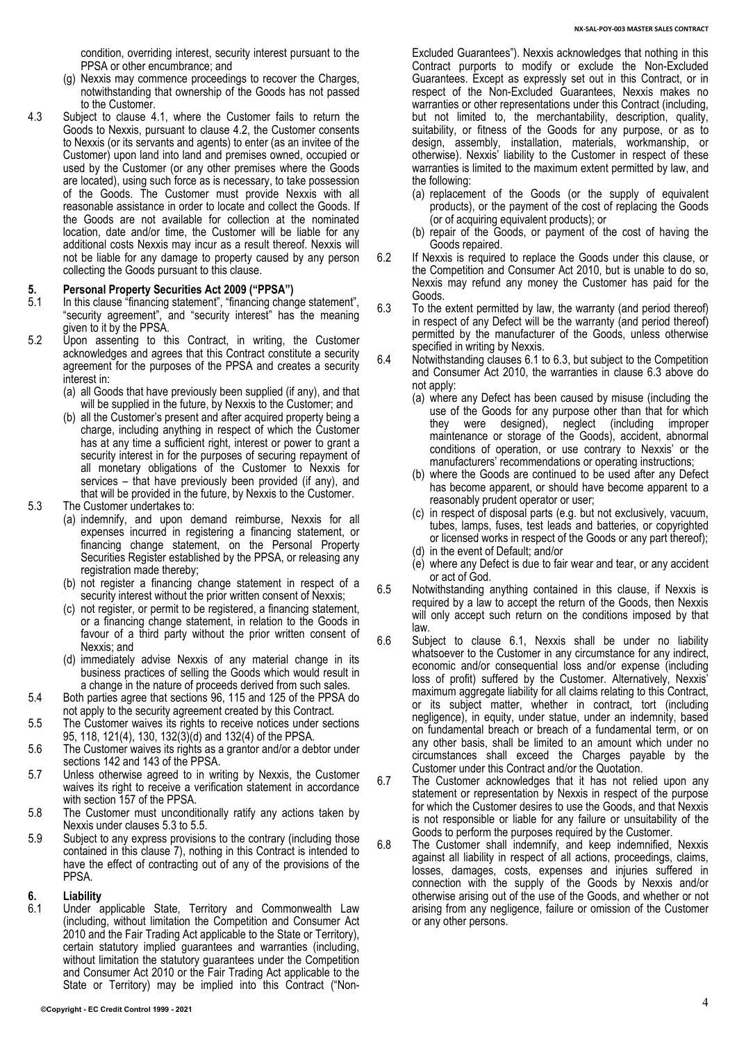condition, overriding interest, security interest pursuant to the PPSA or other encumbrance; and

- (g) Nexxis may commence proceedings to recover the Charges, notwithstanding that ownership of the Goods has not passed to the Customer.
- 4.3 Subject to clause 4.1, where the Customer fails to return the Goods to Nexxis, pursuant to clause [4.2,](#page-2-3) the Customer consents to Nexxis (or its servants and agents) to enter (as an invitee of the Customer) upon land into land and premises owned, occupied or used by the Customer (or any other premises where the Goods are located), using such force as is necessary, to take possession of the Goods. The Customer must provide Nexxis with all reasonable assistance in order to locate and collect the Goods. If the Goods are not available for collection at the nominated location, date and/or time, the Customer will be liable for any additional costs Nexxis may incur as a result thereof. Nexxis will not be liable for any damage to property caused by any person collecting the Goods pursuant to this clause.

# <span id="page-3-3"></span>**5. Personal Property Securities Act 2009 ("PPSA")**

- In this clause "financing statement", "financing change statement", "security agreement", and "security interest" has the meaning given to it by the PPSA.
- 5.2 Upon assenting to this Contract, in writing, the Customer acknowledges and agrees that this Contract constitute a security agreement for the purposes of the PPSA and creates a security interest in:
	- (a) all Goods that have previously been supplied (if any), and that will be supplied in the future, by Nexxis to the Customer; and
	- (b) all the Customer's present and after acquired property being a charge, including anything in respect of which the Customer has at any time a sufficient right, interest or power to grant a security interest in for the purposes of securing repayment of all monetary obligations of the Customer to Nexxis for services – that have previously been provided (if any), and that will be provided in the future, by Nexxis to the Customer.
- <span id="page-3-1"></span>5.3 The Customer undertakes to:
	- (a) indemnify, and upon demand reimburse, Nexxis for all expenses incurred in registering a financing statement, or financing change statement, on the Personal Property Securities Register established by the PPSA, or releasing any registration made thereby;
	- (b) not register a financing change statement in respect of a security interest without the prior written consent of Nexxis;
	- (c) not register, or permit to be registered, a financing statement, or a financing change statement, in relation to the Goods in favour of a third party without the prior written consent of Nexxis; and
	- (d) immediately advise Nexxis of any material change in its business practices of selling the Goods which would result in a change in the nature of proceeds derived from such sales.
- 5.4 Both parties agree that sections 96, 115 and 125 of the PPSA do not apply to the security agreement created by this Contract.
- <span id="page-3-2"></span>5.5 The Customer waives its rights to receive notices under sections 95, 118, 121(4), 130, 132(3)(d) and 132(4) of the PPSA.
- 5.6 The Customer waives its rights as a grantor and/or a debtor under sections 142 and 143 of the PPSA.
- 5.7 Unless otherwise agreed to in writing by Nexxis, the Customer waives its right to receive a verification statement in accordance with section 157 of the PPSA.
- 5.8 The Customer must unconditionally ratify any actions taken by Nexxis under clauses [5.3](#page-3-1) to [5.5.](#page-3-2)
- 5.9 Subject to any express provisions to the contrary (including those contained in this clause [7\)](#page-3-3), nothing in this Contract is intended to have the effect of contracting out of any of the provisions of the PPSA.

# <span id="page-3-0"></span>**6. Liability**

<span id="page-3-4"></span>Under applicable State, Territory and Commonwealth Law (including, without limitation the Competition and Consumer Act 2010 and the Fair Trading Act applicable to the State or Territory), certain statutory implied guarantees and warranties (including, without limitation the statutory guarantees under the Competition and Consumer Act 2010 or the Fair Trading Act applicable to the State or Territory) may be implied into this Contract ("Non-

- (a) replacement of the Goods (or the supply of equivalent products), or the payment of the cost of replacing the Goods (or of acquiring equivalent products); or
- (b) repair of the Goods, or payment of the cost of having the Goods repaired.
- 6.2 If Nexxis is required to replace the Goods under this clause, or the Competition and Consumer Act 2010, but is unable to do so, Nexxis may refund any money the Customer has paid for the Goods.
- <span id="page-3-5"></span>6.3 To the extent permitted by law, the warranty (and period thereof) in respect of any Defect will be the warranty (and period thereof) permitted by the manufacturer of the Goods, unless otherwise specified in writing by Nexxis.
- 6.4 Notwithstanding clauses [6.1](#page-3-4) to [6.3,](#page-3-5) but subject to the Competition and Consumer Act 2010, the warranties in clause [6.3](#page-3-5) above do not apply:
	- (a) where any Defect has been caused by misuse (including the use of the Goods for any purpose other than that for which<br>they were designed), neglect (including improper they were designed), maintenance or storage of the Goods), accident, abnormal conditions of operation, or use contrary to Nexxis' or the manufacturers' recommendations or operating instructions;
	- (b) where the Goods are continued to be used after any Defect has become apparent, or should have become apparent to a reasonably prudent operator or user;
	- (c) in respect of disposal parts (e.g. but not exclusively, vacuum, tubes, lamps, fuses, test leads and batteries, or copyrighted or licensed works in respect of the Goods or any part thereof);
	- (d) in the event of Default; and/or
	- (e) where any Defect is due to fair wear and tear, or any accident or act of God.
- 6.5 Notwithstanding anything contained in this clause, if Nexxis is required by a law to accept the return of the Goods, then Nexxis will only accept such return on the conditions imposed by that law.
- 6.6 Subject to clause [6.1,](#page-3-4) Nexxis shall be under no liability whatsoever to the Customer in any circumstance for any indirect, economic and/or consequential loss and/or expense (including loss of profit) suffered by the Customer. Alternatively, Nexxis' maximum aggregate liability for all claims relating to this Contract, or its subject matter, whether in contract, tort (including negligence), in equity, under statue, under an indemnity, based on fundamental breach or breach of a fundamental term, or on any other basis, shall be limited to an amount which under no circumstances shall exceed the Charges payable by the Customer under this Contract and/or the Quotation.
- 6.7 The Customer acknowledges that it has not relied upon any statement or representation by Nexxis in respect of the purpose for which the Customer desires to use the Goods, and that Nexxis is not responsible or liable for any failure or unsuitability of the Goods to perform the purposes required by the Customer.
- 6.8 The Customer shall indemnify, and keep indemnified, Nexxis against all liability in respect of all actions, proceedings, claims, losses, damages, costs, expenses and injuries suffered in connection with the supply of the Goods by Nexxis and/or otherwise arising out of the use of the Goods, and whether or not arising from any negligence, failure or omission of the Customer or any other persons.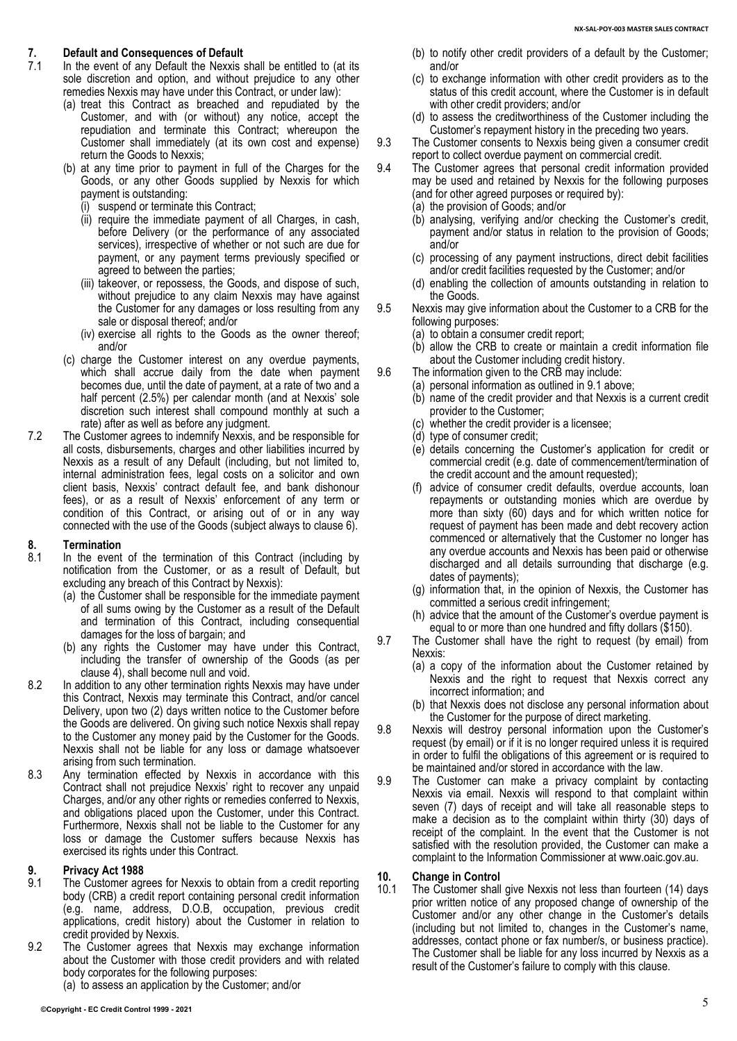## **7. Default and Consequences of Default**

- In the event of any Default the Nexxis shall be entitled to (at its sole discretion and option, and without prejudice to any other remedies Nexxis may have under this Contract, or under law):
	- (a) treat this Contract as breached and repudiated by the Customer, and with (or without) any notice, accept the repudiation and terminate this Contract; whereupon the Customer shall immediately (at its own cost and expense) return the Goods to Nexxis;
	- (b) at any time prior to payment in full of the Charges for the Goods, or any other Goods supplied by Nexxis for which payment is outstanding:
		- (i) suspend or terminate this Contract;
		- (ii) require the immediate payment of all Charges, in cash, before Delivery (or the performance of any associated services), irrespective of whether or not such are due for payment, or any payment terms previously specified or agreed to between the parties;
		- (iii) takeover, or repossess, the Goods, and dispose of such, without prejudice to any claim Nexxis may have against the Customer for any damages or loss resulting from any sale or disposal thereof; and/or
		- (iv) exercise all rights to the Goods as the owner thereof; and/or
	- (c) charge the Customer interest on any overdue payments, which shall accrue daily from the date when payment becomes due, until the date of payment, at a rate of two and a half percent (2.5%) per calendar month (and at Nexxis' sole discretion such interest shall compound monthly at such a rate) after as well as before any judgment.
- 7.2 The Customer agrees to indemnify Nexxis, and be responsible for all costs, disbursements, charges and other liabilities incurred by Nexxis as a result of any Default (including, but not limited to, internal administration fees, legal costs on a solicitor and own client basis, Nexxis' contract default fee, and bank dishonour fees), or as a result of Nexxis' enforcement of any term or condition of this Contract, or arising out of or in any way connected with the use of the Goods (subject always to clause [6\)](#page-3-0).

# **8. Termination**

- In the event of the termination of this Contract (including by notification from the Customer, or as a result of Default, but excluding any breach of this Contract by Nexxis):
	- (a) the Customer shall be responsible for the immediate payment of all sums owing by the Customer as a result of the Default and termination of this Contract, including consequential damages for the loss of bargain; and
	- (b) any rights the Customer may have under this Contract, including the transfer of ownership of the Goods (as per clause  $\overline{4}$ ), shall become null and void.
- 8.2 In addition to any other termination rights Nexxis may have under this Contract, Nexxis may terminate this Contract, and/or cancel Delivery, upon two (2) days written notice to the Customer before the Goods are delivered. On giving such notice Nexxis shall repay to the Customer any money paid by the Customer for the Goods. Nexxis shall not be liable for any loss or damage whatsoever arising from such termination.
- 8.3 Any termination effected by Nexxis in accordance with this Contract shall not prejudice Nexxis' right to recover any unpaid Charges, and/or any other rights or remedies conferred to Nexxis, and obligations placed upon the Customer, under this Contract. Furthermore, Nexxis shall not be liable to the Customer for any loss or damage the Customer suffers because Nexxis has exercised its rights under this Contract.

## **9. Privacy Act 1988**

- <span id="page-4-0"></span>The Customer agrees for Nexxis to obtain from a credit reporting body (CRB) a credit report containing personal credit information (e.g. name, address, D.O.B, occupation, previous credit applications, credit history) about the Customer in relation to credit provided by Nexxis.
- 9.2 The Customer agrees that Nexxis may exchange information about the Customer with those credit providers and with related body corporates for the following purposes:

(a) to assess an application by the Customer; and/or

- (b) to notify other credit providers of a default by the Customer; and/or
- (c) to exchange information with other credit providers as to the status of this credit account, where the Customer is in default with other credit providers; and/or
- (d) to assess the creditworthiness of the Customer including the Customer's repayment history in the preceding two years.
- 9.3 The Customer consents to Nexxis being given a consumer credit report to collect overdue payment on commercial credit.
- 9.4 The Customer agrees that personal credit information provided may be used and retained by Nexxis for the following purposes (and for other agreed purposes or required by):
	- (a) the provision of Goods; and/or
	- (b) analysing, verifying and/or checking the Customer's credit, payment and/or status in relation to the provision of Goods; and/or
	- (c) processing of any payment instructions, direct debit facilities and/or credit facilities requested by the Customer; and/or
	- (d) enabling the collection of amounts outstanding in relation to the Goods.
- 9.5 Nexxis may give information about the Customer to a CRB for the following purposes:
	- (a) to obtain a consumer credit report;
	- (b) allow the CRB to create or maintain a credit information file about the Customer including credit history.
- 9.6 The information given to the CRB may include:
	- (a) personal information as outlined i[n 9.1](#page-4-0) above;
		- (b) name of the credit provider and that Nexxis is a current credit provider to the Customer;
		- (c) whether the credit provider is a licensee;
		- (d) type of consumer credit;
		- (e) details concerning the Customer's application for credit or commercial credit (e.g. date of commencement/termination of the credit account and the amount requested);
		- (f) advice of consumer credit defaults, overdue accounts, loan repayments or outstanding monies which are overdue by more than sixty (60) days and for which written notice for request of payment has been made and debt recovery action commenced or alternatively that the Customer no longer has any overdue accounts and Nexxis has been paid or otherwise discharged and all details surrounding that discharge (e.g. dates of payments);
		- (g) information that, in the opinion of Nexxis, the Customer has committed a serious credit infringement;
	- (h) advice that the amount of the Customer's overdue payment is equal to or more than one hundred and fifty dollars (\$150).
- 9.7 The Customer shall have the right to request (by email) from Nexxis:
	- (a) a copy of the information about the Customer retained by Nexxis and the right to request that Nexxis correct any incorrect information; and
	- (b) that Nexxis does not disclose any personal information about the Customer for the purpose of direct marketing.
- 9.8 Nexxis will destroy personal information upon the Customer's request (by email) or if it is no longer required unless it is required in order to fulfil the obligations of this agreement or is required to be maintained and/or stored in accordance with the law.
- 9.9 The Customer can make a privacy complaint by contacting Nexxis via email. Nexxis will respond to that complaint within seven (7) days of receipt and will take all reasonable steps to make a decision as to the complaint within thirty (30) days of receipt of the complaint. In the event that the Customer is not satisfied with the resolution provided, the Customer can make a complaint to the Information Commissioner at www.oaic.gov.au.

## **10. Change in Control**

The Customer shall give Nexxis not less than fourteen (14) days prior written notice of any proposed change of ownership of the Customer and/or any other change in the Customer's details (including but not limited to, changes in the Customer's name, addresses, contact phone or fax number/s, or business practice). The Customer shall be liable for any loss incurred by Nexxis as a result of the Customer's failure to comply with this clause.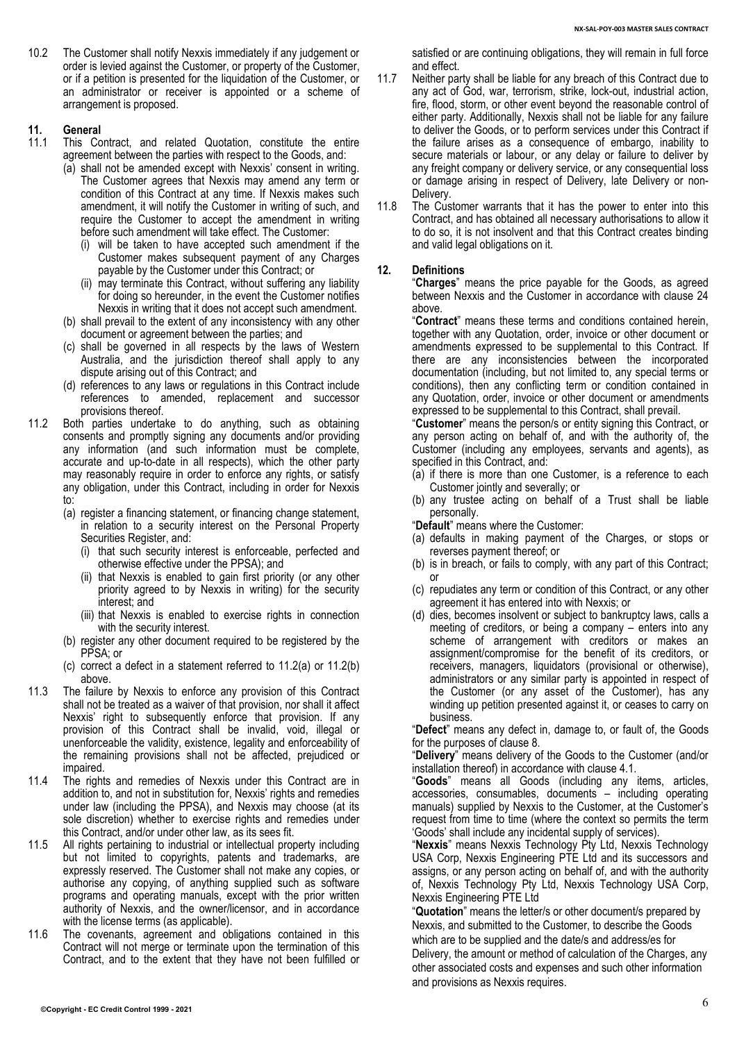10.2 The Customer shall notify Nexxis immediately if any judgement or order is levied against the Customer, or property of the Customer, or if a petition is presented for the liquidation of the Customer, or an administrator or receiver is appointed or a scheme of arrangement is proposed.

# **11. General**

- This Contract, and related Quotation, constitute the entire agreement between the parties with respect to the Goods, and:
	- (a) shall not be amended except with Nexxis' consent in writing. The Customer agrees that Nexxis may amend any term or condition of this Contract at any time. If Nexxis makes such amendment, it will notify the Customer in writing of such, and require the Customer to accept the amendment in writing before such amendment will take effect. The Customer:
		- (i) will be taken to have accepted such amendment if the Customer makes subsequent payment of any Charges payable by the Customer under this Contract; or
		- (ii) may terminate this Contract, without suffering any liability for doing so hereunder, in the event the Customer notifies Nexxis in writing that it does not accept such amendment.
	- (b) shall prevail to the extent of any inconsistency with any other document or agreement between the parties; and
	- (c) shall be governed in all respects by the laws of Western Australia, and the jurisdiction thereof shall apply to any dispute arising out of this Contract; and
	- (d) references to any laws or regulations in this Contract include references to amended, replacement and successor provisions thereof.
- 11.2 Both parties undertake to do anything, such as obtaining consents and promptly signing any documents and/or providing any information (and such information must be complete, accurate and up-to-date in all respects), which the other party may reasonably require in order to enforce any rights, or satisfy any obligation, under this Contract, including in order for Nexxis to:
	- (a) register a financing statement, or financing change statement, in relation to a security interest on the Personal Property Securities Register, and:
		- (i) that such security interest is enforceable, perfected and otherwise effective under the PPSA); and
		- (ii) that Nexxis is enabled to gain first priority (or any other priority agreed to by Nexxis in writing) for the security interest; and
		- (iii) that Nexxis is enabled to exercise rights in connection with the security interest.
	- (b) register any other document required to be registered by the PPSA; or
	- (c) correct a defect in a statement referred to 11.2(a) or 11.2(b) above.
- 11.3 The failure by Nexxis to enforce any provision of this Contract shall not be treated as a waiver of that provision, nor shall it affect Nexxis' right to subsequently enforce that provision. If any provision of this Contract shall be invalid, void, illegal or unenforceable the validity, existence, legality and enforceability of the remaining provisions shall not be affected, prejudiced or impaired.
- 11.4 The rights and remedies of Nexxis under this Contract are in addition to, and not in substitution for, Nexxis' rights and remedies under law (including the PPSA), and Nexxis may choose (at its sole discretion) whether to exercise rights and remedies under this Contract, and/or under other law, as its sees fit.
- 11.5 All rights pertaining to industrial or intellectual property including but not limited to copyrights, patents and trademarks, are expressly reserved. The Customer shall not make any copies, or authorise any copying, of anything supplied such as software programs and operating manuals, except with the prior written authority of Nexxis, and the owner/licensor, and in accordance with the license terms (as applicable).
- 11.6 The covenants, agreement and obligations contained in this Contract will not merge or terminate upon the termination of this Contract, and to the extent that they have not been fulfilled or

satisfied or are continuing obligations, they will remain in full force and effect.

- 11.7 Neither party shall be liable for any breach of this Contract due to any act of God, war, terrorism, strike, lock-out, industrial action, fire, flood, storm, or other event beyond the reasonable control of either party. Additionally, Nexxis shall not be liable for any failure to deliver the Goods, or to perform services under this Contract if the failure arises as a consequence of embargo, inability to secure materials or labour, or any delay or failure to deliver by any freight company or delivery service, or any consequential loss or damage arising in respect of Delivery, late Delivery or non-Delivery.
- 11.8 The Customer warrants that it has the power to enter into this Contract, and has obtained all necessary authorisations to allow it to do so, it is not insolvent and that this Contract creates binding and valid legal obligations on it.

#### **12. Definitions**

"**Charges**" means the price payable for the Goods, as agreed between Nexxis and the Customer in accordance with clause [24](#page-2-5) above.

"**Contract**" means these terms and conditions contained herein, together with any Quotation, order, invoice or other document or amendments expressed to be supplemental to this Contract. If there are any inconsistencies between the incorporated documentation (including, but not limited to, any special terms or conditions), then any conflicting term or condition contained in any Quotation, order, invoice or other document or amendments expressed to be supplemental to this Contract, shall prevail.

"**Customer**" means the person/s or entity signing this Contract, or any person acting on behalf of, and with the authority of, the Customer (including any employees, servants and agents), as specified in this Contract, and:

- (a) if there is more than one Customer, is a reference to each Customer jointly and severally; or
- (b) any trustee acting on behalf of a Trust shall be liable personally.

"**Default**" means where the Customer:

- (a) defaults in making payment of the Charges, or stops or reverses payment thereof; or
- (b) is in breach, or fails to comply, with any part of this Contract; or
- (c) repudiates any term or condition of this Contract, or any other agreement it has entered into with Nexxis; or
- (d) dies, becomes insolvent or subject to bankruptcy laws, calls a meeting of creditors, or being a company – enters into any scheme of arrangement with creditors or makes an assignment/compromise for the benefit of its creditors, or receivers, managers, liquidators (provisional or otherwise), administrators or any similar party is appointed in respect of the Customer (or any asset of the Customer), has any winding up petition presented against it, or ceases to carry on business.

"**Defect**" means any defect in, damage to, or fault of, the Goods for the purposes of clause [8.](#page-3-0)

"**Delivery**" means delivery of the Goods to the Customer (and/or installation thereof) in accordance with clause [4.1.](#page-2-6)

"**Goods**" means all Goods (including any items, articles, accessories, consumables, documents – including operating manuals) supplied by Nexxis to the Customer, at the Customer's request from time to time (where the context so permits the term 'Goods' shall include any incidental supply of services).

"**Nexxis**" means Nexxis Technology Pty Ltd, Nexxis Technology USA Corp, Nexxis Engineering PTE Ltd and its successors and assigns, or any person acting on behalf of, and with the authority of, Nexxis Technology Pty Ltd, Nexxis Technology USA Corp, Nexxis Engineering PTE Ltd

"**Quotation**" means the letter/s or other document/s prepared by Nexxis, and submitted to the Customer, to describe the Goods which are to be supplied and the date/s and address/es for

Delivery, the amount or method of calculation of the Charges, any other associated costs and expenses and such other information and provisions as Nexxis requires.